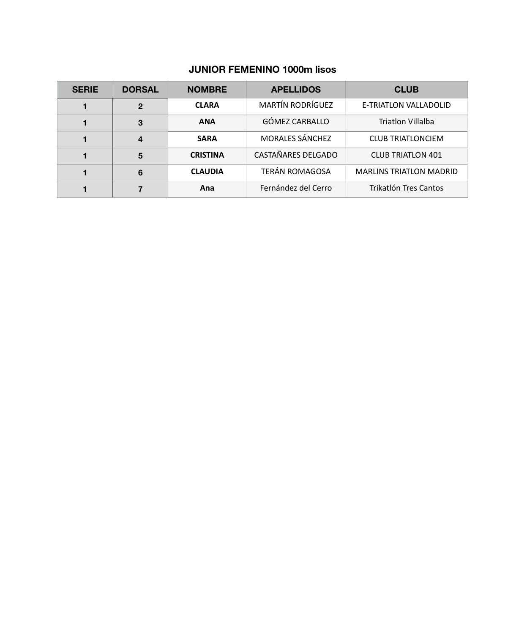#### **JUNIOR FEMENINO 1000m lisos**

| <b>SERIE</b> | <b>DORSAL</b> | <b>NOMBRE</b>   | <b>APELLIDOS</b>        | <b>CLUB</b>                    |
|--------------|---------------|-----------------|-------------------------|--------------------------------|
|              | $\mathbf{2}$  | <b>CLARA</b>    | <b>MARTÍN RODRÍGUEZ</b> | E-TRIATLON VALLADOLID          |
|              | 3             | <b>ANA</b>      | GÓMEZ CARBALLO          | <b>Triatlon Villalba</b>       |
|              | 4             | <b>SARA</b>     | <b>MORALES SÁNCHEZ</b>  | <b>CLUB TRIATLONCIEM</b>       |
|              | 5             | <b>CRISTINA</b> | CASTAÑARES DELGADO      | <b>CLUB TRIATLON 401</b>       |
|              | 6             | <b>CLAUDIA</b>  | <b>TERÁN ROMAGOSA</b>   | <b>MARLINS TRIATLON MADRID</b> |
|              |               | Ana             | Fernández del Cerro     | Trikatlón Tres Cantos          |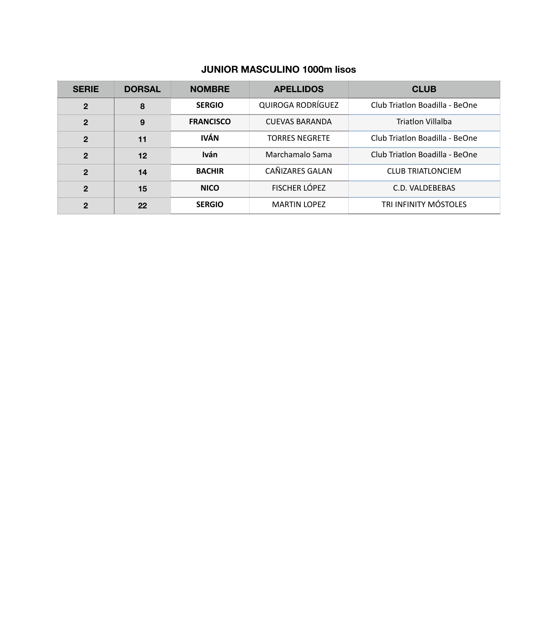#### **JUNIOR MASCULINO 1000m lisos**

| <b>SERIE</b>   | <b>DORSAL</b> | <b>NOMBRE</b>    | <b>APELLIDOS</b>         | <b>CLUB</b>                    |
|----------------|---------------|------------------|--------------------------|--------------------------------|
| $\mathbf{2}$   | 8             | <b>SERGIO</b>    | <b>QUIROGA RODRÍGUEZ</b> | Club Triatlon Boadilla - BeOne |
| $\overline{2}$ | 9             | <b>FRANCISCO</b> | <b>CUEVAS BARANDA</b>    | Triatlon Villalba              |
| $\overline{2}$ | 11            | <b>IVÁN</b>      | <b>TORRES NEGRETE</b>    | Club Triatlon Boadilla - BeOne |
| $\mathbf{2}$   | 12            | <b>Iván</b>      | Marchamalo Sama          | Club Triatlon Boadilla - BeOne |
| $\mathbf{2}$   | 14            | <b>BACHIR</b>    | CAÑIZARES GALAN          | <b>CLUB TRIATLONCIEM</b>       |
| $\mathbf{2}$   | 15            | <b>NICO</b>      | FISCHER LÓPEZ            | C.D. VALDEBEBAS                |
| $\mathbf{2}$   | 22            | <b>SERGIO</b>    | <b>MARTIN LOPEZ</b>      | <b>TRI INFINITY MÓSTOLES</b>   |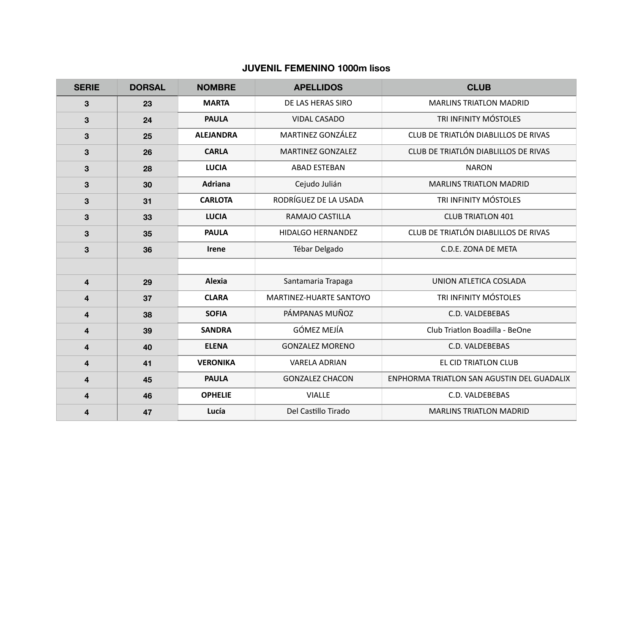#### **JUVENIL FEMENINO 1000m lisos**

| <b>SERIE</b> | <b>DORSAL</b> | <b>NOMBRE</b>    | <b>APELLIDOS</b>         | <b>CLUB</b>                                |
|--------------|---------------|------------------|--------------------------|--------------------------------------------|
| 3            | 23            | <b>MARTA</b>     | DE LAS HERAS SIRO        | <b>MARLINS TRIATLON MADRID</b>             |
| 3            | 24            | <b>PAULA</b>     | <b>VIDAL CASADO</b>      | TRI INFINITY MÓSTOLES                      |
| 3            | 25            | <b>ALEJANDRA</b> | MARTINEZ GONZÁLEZ        | CLUB DE TRIATLÓN DIABLILLOS DE RIVAS       |
| 3            | 26            | <b>CARLA</b>     | <b>MARTINEZ GONZALEZ</b> | CLUB DE TRIATLÓN DIABLILLOS DE RIVAS       |
| $\mathbf{3}$ | 28            | <b>LUCIA</b>     | <b>ABAD ESTEBAN</b>      | <b>NARON</b>                               |
| 3            | 30            | <b>Adriana</b>   | Cejudo Julián            | <b>MARLINS TRIATLON MADRID</b>             |
| 3            | 31            | <b>CARLOTA</b>   | RODRÍGUEZ DE LA USADA    | TRI INFINITY MÓSTOLES                      |
| 3            | 33            | <b>LUCIA</b>     | RAMAJO CASTILLA          | <b>CLUB TRIATLON 401</b>                   |
| 3            | 35            | <b>PAULA</b>     | <b>HIDALGO HERNANDEZ</b> | CLUB DE TRIATLÓN DIABLILLOS DE RIVAS       |
| 3            | 36            | <b>Irene</b>     | Tébar Delgado            | C.D.E. ZONA DE META                        |
|              |               |                  |                          |                                            |
| 4            | 29            | Alexia           | Santamaria Trapaga       | UNION ATLETICA COSLADA                     |
| 4            | 37            | <b>CLARA</b>     | MARTINEZ-HUARTE SANTOYO  | TRI INFINITY MÓSTOLES                      |
| 4            | 38            | <b>SOFIA</b>     | PÁMPANAS MUÑOZ           | C.D. VALDEBEBAS                            |
| 4            | 39            | <b>SANDRA</b>    | <b>GÓMEZ MEJÍA</b>       | Club Triatlon Boadilla - BeOne             |
| 4            | 40            | <b>ELENA</b>     | <b>GONZALEZ MORENO</b>   | C.D. VALDEBEBAS                            |
| 4            | 41            | <b>VERONIKA</b>  | <b>VARELA ADRIAN</b>     | EL CID TRIATLON CLUB                       |
| 4            | 45            | <b>PAULA</b>     | <b>GONZALEZ CHACON</b>   | ENPHORMA TRIATLON SAN AGUSTIN DEL GUADALIX |
| 4            | 46            | <b>OPHELIE</b>   | <b>VIALLE</b>            | C.D. VALDEBEBAS                            |
| 4            | 47            | Lucía            | Del Castillo Tirado      | <b>MARLINS TRIATLON MADRID</b>             |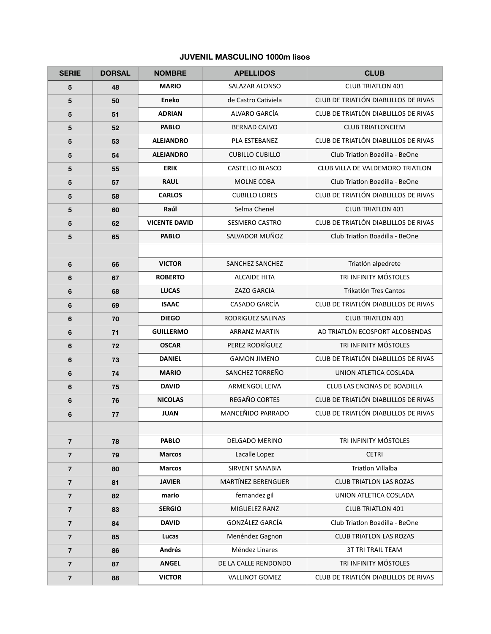#### **JUVENIL MASCULINO 1000m lisos**

| <b>SERIE</b>   | <b>DORSAL</b> | <b>NOMBRE</b>        | <b>APELLIDOS</b>          | <b>CLUB</b>                          |
|----------------|---------------|----------------------|---------------------------|--------------------------------------|
| 5              | 48            | <b>MARIO</b>         | SALAZAR ALONSO            | <b>CLUB TRIATLON 401</b>             |
| 5              | 50            | <b>Eneko</b>         | de Castro Cativiela       | CLUB DE TRIATLÓN DIABLILLOS DE RIVAS |
| 5              | 51            | <b>ADRIAN</b>        | ALVARO GARCÍA             | CLUB DE TRIATLÓN DIABLILLOS DE RIVAS |
| 5              | 52            | <b>PABLO</b>         | <b>BERNAD CALVO</b>       | <b>CLUB TRIATLONCIEM</b>             |
| 5              | 53            | <b>ALEJANDRO</b>     | PLA ESTEBANEZ             | CLUB DE TRIATLÓN DIABLILLOS DE RIVAS |
| 5              | 54            | <b>ALEJANDRO</b>     | <b>CUBILLO CUBILLO</b>    | Club Triatlon Boadilla - BeOne       |
| 5              | 55            | <b>ERIK</b>          | <b>CASTELLO BLASCO</b>    | CLUB VILLA DE VALDEMORO TRIATLON     |
| 5              | 57            | <b>RAUL</b>          | <b>MOLNE COBA</b>         | Club Triatlon Boadilla - BeOne       |
| 5              | 58            | <b>CARLOS</b>        | <b>CUBILLO LORES</b>      | CLUB DE TRIATLÓN DIABLILLOS DE RIVAS |
| 5              | 60            | Raúl                 | Selma Chenel              | <b>CLUB TRIATLON 401</b>             |
| 5              | 62            | <b>VICENTE DAVID</b> | <b>SESMERO CASTRO</b>     | CLUB DE TRIATLÓN DIABLILLOS DE RIVAS |
| 5              | 65            | <b>PABLO</b>         | SALVADOR MUÑOZ            | Club Triatlon Boadilla - BeOne       |
|                |               |                      |                           |                                      |
| 6              | 66            | <b>VICTOR</b>        | SANCHEZ SANCHEZ           | Triatlón alpedrete                   |
| 6              | 67            | <b>ROBERTO</b>       | <b>ALCAIDE HITA</b>       | TRI INFINITY MÓSTOLES                |
| 6              | 68            | <b>LUCAS</b>         | <b>ZAZO GARCIA</b>        | <b>Trikatlón Tres Cantos</b>         |
| 6              | 69            | <b>ISAAC</b>         | CASADO GARCÍA             | CLUB DE TRIATLÓN DIABLILLOS DE RIVAS |
| 6              | 70            | <b>DIEGO</b>         | RODRIGUEZ SALINAS         | <b>CLUB TRIATLON 401</b>             |
| 6              | 71            | <b>GUILLERMO</b>     | <b>ARRANZ MARTIN</b>      | AD TRIATLÓN ECOSPORT ALCOBENDAS      |
| 6              | 72            | <b>OSCAR</b>         | PEREZ RODRÍGUEZ           | TRI INFINITY MÓSTOLES                |
| 6              | 73            | <b>DANIEL</b>        | <b>GAMON JIMENO</b>       | CLUB DE TRIATLÓN DIABLILLOS DE RIVAS |
| 6              | 74            | <b>MARIO</b>         | SANCHEZ TORREÑO           | UNION ATLETICA COSLADA               |
| 6              | 75            | <b>DAVID</b>         | ARMENGOL LEIVA            | CLUB LAS ENCINAS DE BOADILLA         |
| 6              | 76            | <b>NICOLAS</b>       | REGAÑO CORTES             | CLUB DE TRIATLÓN DIABLILLOS DE RIVAS |
| 6              | 77            | <b>JUAN</b>          | MANCEÑIDO PARRADO         | CLUB DE TRIATLÓN DIABLILLOS DE RIVAS |
|                |               |                      |                           |                                      |
| $\overline{7}$ | 78            | <b>PABLO</b>         | <b>DELGADO MERINO</b>     | TRI INFINITY MÓSTOLES                |
| $\overline{7}$ | 79            | <b>Marcos</b>        | Lacalle Lopez             | <b>CETRI</b>                         |
| $\overline{7}$ | 80            | <b>Marcos</b>        | <b>SIRVENT SANABIA</b>    | <b>Triatlon Villalba</b>             |
| $\overline{7}$ | 81            | <b>JAVIER</b>        | <b>MARTÍNEZ BERENGUER</b> | <b>CLUB TRIATLON LAS ROZAS</b>       |
| $\overline{7}$ | 82            | mario                | fernandez gil             | UNION ATLETICA COSLADA               |
| $\overline{7}$ | 83            | <b>SERGIO</b>        | MIGUELEZ RANZ             | <b>CLUB TRIATLON 401</b>             |
| $\overline{7}$ | 84            | <b>DAVID</b>         | GONZÁLEZ GARCÍA           | Club Triatlon Boadilla - BeOne       |
| $\overline{7}$ | 85            | Lucas                | Menéndez Gagnon           | <b>CLUB TRIATLON LAS ROZAS</b>       |
| $\overline{7}$ | 86            | Andrés               | Méndez Linares            | <b>3T TRI TRAIL TEAM</b>             |
| $\overline{7}$ | 87            | <b>ANGEL</b>         | DE LA CALLE RENDONDO      | TRI INFINITY MÓSTOLES                |
| $\overline{7}$ | 88            | <b>VICTOR</b>        | <b>VALLINOT GOMEZ</b>     | CLUB DE TRIATLÓN DIABLILLOS DE RIVAS |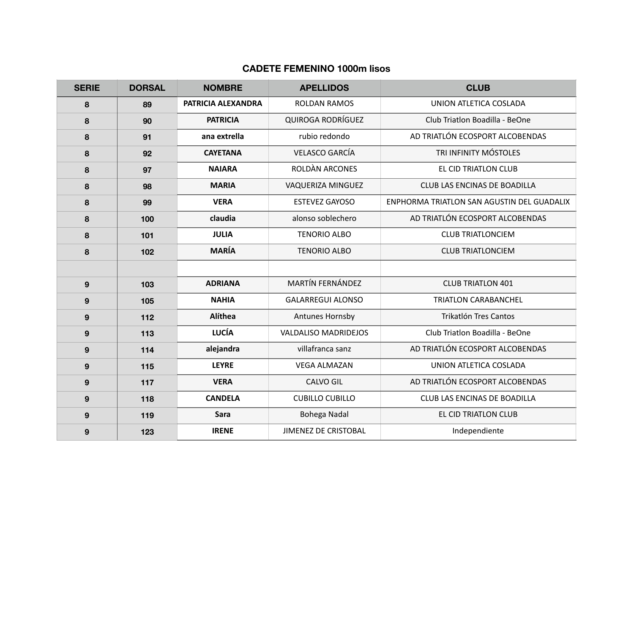#### **CADETE FEMENINO 1000m lisos**

| <b>SERIE</b>     | <b>DORSAL</b> | <b>NOMBRE</b>      | <b>APELLIDOS</b>            | <b>CLUB</b>                                |
|------------------|---------------|--------------------|-----------------------------|--------------------------------------------|
| 8                | 89            | PATRICIA ALEXANDRA | <b>ROLDAN RAMOS</b>         | UNION ATLETICA COSLADA                     |
| 8                | 90            | <b>PATRICIA</b>    | <b>QUIROGA RODRÍGUEZ</b>    | Club Triatlon Boadilla - BeOne             |
| 8                | 91            | ana extrella       | rubio redondo               | AD TRIATLÓN ECOSPORT ALCOBENDAS            |
| 8                | 92            | <b>CAYETANA</b>    | <b>VELASCO GARCÍA</b>       | TRI INFINITY MÓSTOLES                      |
| 8                | 97            | <b>NAIARA</b>      | <b>ROLDÀN ARCONES</b>       | EL CID TRIATLON CLUB                       |
| 8                | 98            | <b>MARIA</b>       | VAQUERIZA MINGUEZ           | CLUB LAS ENCINAS DE BOADILLA               |
| 8                | 99            | <b>VERA</b>        | <b>ESTEVEZ GAYOSO</b>       | ENPHORMA TRIATLON SAN AGUSTIN DEL GUADALIX |
| 8                | 100           | claudia            | alonso soblechero           | AD TRIATLÓN ECOSPORT ALCOBENDAS            |
| 8                | 101           | <b>JULIA</b>       | <b>TENORIO ALBO</b>         | <b>CLUB TRIATLONCIEM</b>                   |
| 8                | 102           | <b>MARÍA</b>       | <b>TENORIO ALBO</b>         | <b>CLUB TRIATLONCIEM</b>                   |
|                  |               |                    |                             |                                            |
| 9                | 103           | <b>ADRIANA</b>     | <b>MARTÍN FERNÁNDEZ</b>     | <b>CLUB TRIATLON 401</b>                   |
| $\boldsymbol{9}$ | 105           | <b>NAHIA</b>       | <b>GALARREGUI ALONSO</b>    | <b>TRIATLON CARABANCHEL</b>                |
| $\boldsymbol{9}$ | 112           | Alíthea            | Antunes Hornsby             | <b>Trikatlón Tres Cantos</b>               |
| 9                | 113           | <b>LUCÍA</b>       | <b>VALDALISO MADRIDEJOS</b> | Club Triatlon Boadilla - BeOne             |
| 9                | 114           | alejandra          | villafranca sanz            | AD TRIATLÓN ECOSPORT ALCOBENDAS            |
| $\boldsymbol{9}$ | 115           | <b>LEYRE</b>       | <b>VEGA ALMAZAN</b>         | UNION ATLETICA COSLADA                     |
| 9                | 117           | <b>VERA</b>        | <b>CALVO GIL</b>            | AD TRIATLÓN ECOSPORT ALCOBENDAS            |
| $\boldsymbol{9}$ | 118           | <b>CANDELA</b>     | <b>CUBILLO CUBILLO</b>      | CLUB LAS ENCINAS DE BOADILLA               |
| 9                | 119           | Sara               | Bohega Nadal                | EL CID TRIATLON CLUB                       |
| 9                | 123           | <b>IRENE</b>       | <b>JIMENEZ DE CRISTOBAL</b> | Independiente                              |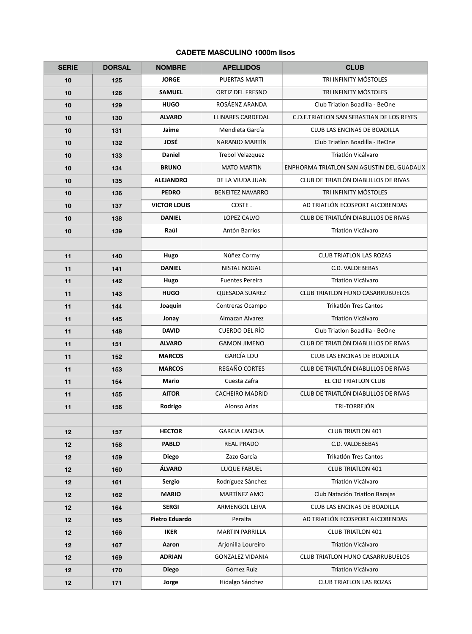## **CADETE MASCULINO 1000m lisos**

| <b>SERIE</b> | <b>DORSAL</b> | <b>NOMBRE</b>         | <b>APELLIDOS</b>         | <b>CLUB</b>                                      |
|--------------|---------------|-----------------------|--------------------------|--------------------------------------------------|
| 10           | 125           | <b>JORGE</b>          | PUERTAS MARTI            | TRI INFINITY MÓSTOLES                            |
| 10           | 126           | <b>SAMUEL</b>         | ORTIZ DEL FRESNO         | TRI INFINITY MÓSTOLES                            |
| 10           | 129           | <b>HUGO</b>           | ROSÁENZ ARANDA           | Club Triatlon Boadilla - BeOne                   |
| 10           | 130           | <b>ALVARO</b>         | <b>LLINARES CARDEDAL</b> | <b>C.D.E.TRIATLON SAN SEBASTIAN DE LOS REYES</b> |
| 10           | 131           | Jaime                 | Mendieta García          | CLUB LAS ENCINAS DE BOADILLA                     |
| 10           | 132           | <b>JOSÉ</b>           | NARANJO MARTÍN           | Club Triatlon Boadilla - BeOne                   |
| 10           | 133           | <b>Daniel</b>         | Trebol Velazquez         | Triatlón Vicálvaro                               |
| 10           | 134           | <b>BRUNO</b>          | <b>MATO MARTIN</b>       | ENPHORMA TRIATLON SAN AGUSTIN DEL GUADALIX       |
| 10           | 135           | <b>ALEJANDRO</b>      | DE LA VIUDA JUAN         | CLUB DE TRIATLÓN DIABLILLOS DE RIVAS             |
| 10           | 136           | <b>PEDRO</b>          | <b>BENEITEZ NAVARRO</b>  | TRI INFINITY MÓSTOLES                            |
| 10           | 137           | <b>VICTOR LOUIS</b>   | COSTE.                   | AD TRIATLÓN ECOSPORT ALCOBENDAS                  |
| 10           | 138           | <b>DANIEL</b>         | LOPEZ CALVO              | CLUB DE TRIATLÓN DIABLILLOS DE RIVAS             |
| 10           | 139           | Raúl                  | Antón Barrios            | Triatlón Vicálvaro                               |
|              |               |                       |                          |                                                  |
| 11           | 140           | Hugo                  | Núñez Cormy              | <b>CLUB TRIATLON LAS ROZAS</b>                   |
| 11           | 141           | <b>DANIEL</b>         | <b>NISTAL NOGAL</b>      | C.D. VALDEBEBAS                                  |
| 11           | 142           | Hugo                  | <b>Fuentes Pereira</b>   | Triatlón Vicálvaro                               |
| 11           | 143           | <b>HUGO</b>           | <b>QUESADA SUAREZ</b>    | <b>CLUB TRIATLON HUNO CASARRUBUELOS</b>          |
| 11           | 144           | Joaquín               | Contreras Ocampo         | Trikatlón Tres Cantos                            |
| 11           | 145           | Jonay                 | Almazan Alvarez          | Triatlón Vicálvaro                               |
| 11           | 148           | <b>DAVID</b>          | CUERDO DEL RÍO           | Club Triatlon Boadilla - BeOne                   |
| 11           | 151           | <b>ALVARO</b>         | <b>GAMON JIMENO</b>      | CLUB DE TRIATLÓN DIABLILLOS DE RIVAS             |
| 11           | 152           | <b>MARCOS</b>         | <b>GARCÍA LOU</b>        | CLUB LAS ENCINAS DE BOADILLA                     |
| 11           | 153           | <b>MARCOS</b>         | REGAÑO CORTES            | CLUB DE TRIATLÓN DIABLILLOS DE RIVAS             |
| 11           | 154           | <b>Mario</b>          | Cuesta Zafra             | EL CID TRIATLON CLUB                             |
| 11           | 155           | <b>AITOR</b>          | <b>CACHEIRO MADRID</b>   | CLUB DE TRIATLÓN DIABLILLOS DE RIVAS             |
| 11           | 156           | Rodrigo               | Alonso Arias             | TRI-TORREJÓN                                     |
|              |               |                       |                          |                                                  |
| 12           | 157           | <b>HECTOR</b>         | <b>GARCIA LANCHA</b>     | <b>CLUB TRIATLON 401</b>                         |
| 12           | 158           | <b>PABLO</b>          | <b>REAL PRADO</b>        | C.D. VALDEBEBAS                                  |
| 12           | 159           | <b>Diego</b>          | Zazo García              | Trikatlón Tres Cantos                            |
| 12           | 160           | ÁLVARO                | LUQUE FABUEL             | <b>CLUB TRIATLON 401</b>                         |
| 12           | 161           | <b>Sergio</b>         | Rodríguez Sánchez        | Triatlón Vicálvaro                               |
| 12           | 162           | <b>MARIO</b>          | MARTÍNEZ AMO             | Club Natación Triatlon Barajas                   |
| 12           | 164           | <b>SERGI</b>          | ARMENGOL LEIVA           | CLUB LAS ENCINAS DE BOADILLA                     |
| 12           | 165           | <b>Pietro Eduardo</b> | Peralta                  | AD TRIATLÓN ECOSPORT ALCOBENDAS                  |
| 12           | 166           | <b>IKER</b>           | <b>MARTIN PARRILLA</b>   | <b>CLUB TRIATLON 401</b>                         |
| 12           | 167           | Aaron                 | Arjonilla Loureiro       | Triatlón Vicálvaro                               |
| 12           | 169           | <b>ADRIAN</b>         | <b>GONZALEZ VIDANIA</b>  | <b>CLUB TRIATLON HUNO CASARRUBUELOS</b>          |
| 12           | 170           | <b>Diego</b>          | Gómez Ruiz               | Triatlón Vicálvaro                               |
| 12           | 171           | Jorge                 | Hidalgo Sánchez          | <b>CLUB TRIATLON LAS ROZAS</b>                   |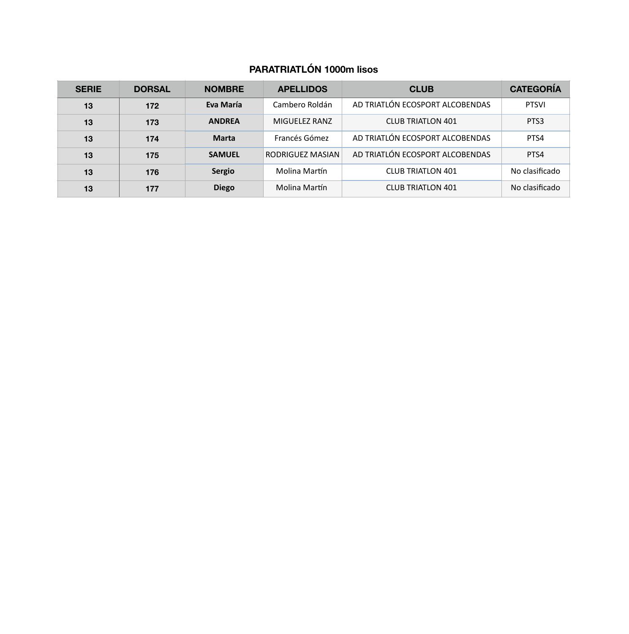# **PARATRIATLÓN 1000m lisos**

| <b>SERIE</b> | <b>DORSAL</b> | <b>NOMBRE</b> | <b>APELLIDOS</b> | <b>CLUB</b>                     | <b>CATEGORÍA</b> |
|--------------|---------------|---------------|------------------|---------------------------------|------------------|
| 13           | 172           | Eva María     | Cambero Roldán   | AD TRIATLÓN ECOSPORT ALCOBENDAS | <b>PTSVI</b>     |
| 13           | 173           | <b>ANDREA</b> | MIGUELEZ RANZ    | <b>CLUB TRIATLON 401</b>        | PTS3             |
| 13           | 174           | <b>Marta</b>  | Francés Gómez    | AD TRIATLÓN ECOSPORT ALCOBENDAS | PTS4             |
| 13           | 175           | <b>SAMUEL</b> | RODRIGUEZ MASIAN | AD TRIATLÓN ECOSPORT ALCOBENDAS | PTS4             |
| 13           | 176           | <b>Sergio</b> | Molina Martín    | <b>CLUB TRIATLON 401</b>        | No clasificado   |
| 13           | 177           | <b>Diego</b>  | Molina Martín    | <b>CLUB TRIATLON 401</b>        | No clasificado   |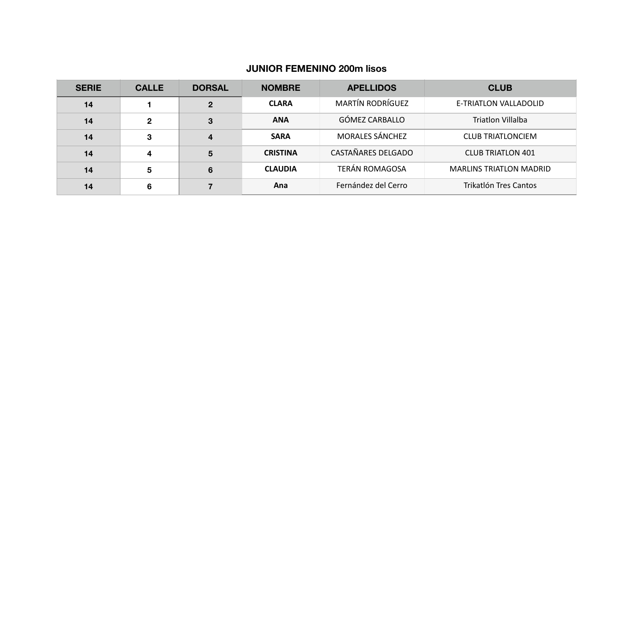#### **JUNIOR FEMENINO 200m lisos**

| <b>SERIE</b> | <b>CALLE</b> | <b>DORSAL</b> | <b>NOMBRE</b>   | <b>APELLIDOS</b>        | <b>CLUB</b>                    |
|--------------|--------------|---------------|-----------------|-------------------------|--------------------------------|
| 14           |              | $\mathbf{2}$  | <b>CLARA</b>    | <b>MARTÍN RODRÍGUEZ</b> | E-TRIATLON VALLADOLID          |
| 14           | $\mathbf{2}$ | 3             | <b>ANA</b>      | GÓMEZ CARBALLO          | Triatlon Villalba              |
| 14           | 3            | 4             | <b>SARA</b>     | <b>MORALES SÁNCHEZ</b>  | <b>CLUB TRIATLONCIEM</b>       |
| 14           | 4            | 5             | <b>CRISTINA</b> | CASTAÑARES DELGADO      | <b>CLUB TRIATLON 401</b>       |
| 14           | 5            | 6             | <b>CLAUDIA</b>  | <b>TERÁN ROMAGOSA</b>   | <b>MARLINS TRIATLON MADRID</b> |
| 14           | 6            |               | Ana             | Fernández del Cerro     | Trikatlón Tres Cantos          |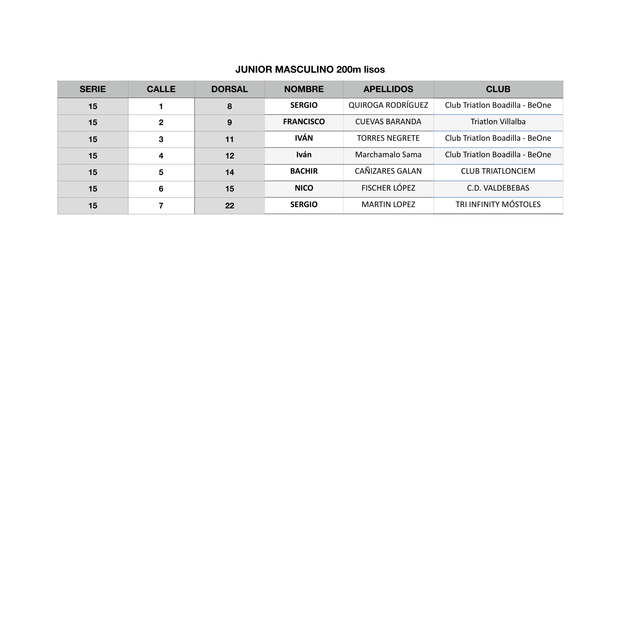#### **JUNIOR MASCULINO 200m lisos**

| <b>SERIE</b> | <b>CALLE</b> | <b>DORSAL</b> | <b>NOMBRE</b>    | <b>APELLIDOS</b>         | <b>CLUB</b>                    |
|--------------|--------------|---------------|------------------|--------------------------|--------------------------------|
| 15           |              | 8             | <b>SERGIO</b>    | <b>QUIROGA RODRÍGUEZ</b> | Club Triatlon Boadilla - BeOne |
| 15           | $\mathbf{2}$ | 9             | <b>FRANCISCO</b> | <b>CUEVAS BARANDA</b>    | Triatlon Villalba              |
| 15           | 3            | 11            | <b>IVÁN</b>      | <b>TORRES NEGRETE</b>    | Club Triatlon Boadilla - BeOne |
| 15           | 4            | 12            | <b>Iván</b>      | Marchamalo Sama          | Club Triatlon Boadilla - BeOne |
| 15           | 5            | 14            | <b>BACHIR</b>    | CAÑIZARES GALAN          | <b>CLUB TRIATLONCIEM</b>       |
| 15           | 6            | 15            | <b>NICO</b>      | <b>FISCHER LÓPEZ</b>     | C.D. VALDEBEBAS                |
| 15           | 7            | 22            | <b>SERGIO</b>    | <b>MARTIN LOPEZ</b>      | TRI INFINITY MÓSTOLES          |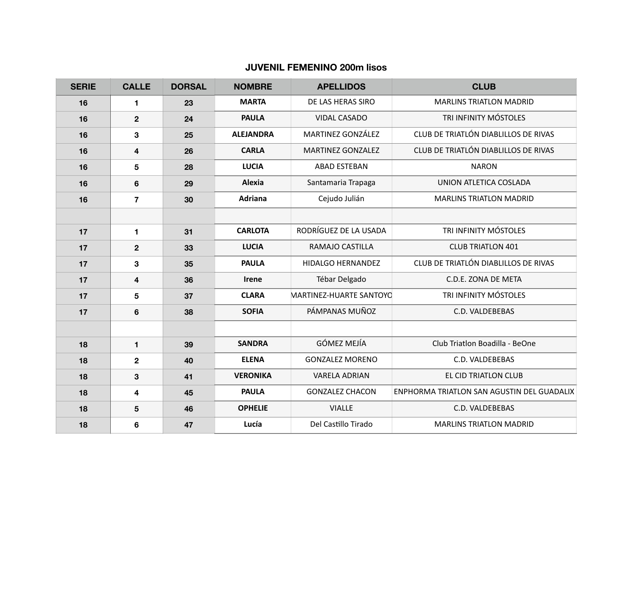#### **JUVENIL FEMENINO 200m lisos**

| <b>SERIE</b> | <b>CALLE</b>            | <b>DORSAL</b> | <b>NOMBRE</b>    | <b>APELLIDOS</b>               | <b>CLUB</b>                                |
|--------------|-------------------------|---------------|------------------|--------------------------------|--------------------------------------------|
| 16           | 1                       | 23            | <b>MARTA</b>     | DE LAS HERAS SIRO              | <b>MARLINS TRIATLON MADRID</b>             |
| 16           | $\mathbf{2}$            | 24            | <b>PAULA</b>     | <b>VIDAL CASADO</b>            | TRI INFINITY MÓSTOLES                      |
| 16           | 3                       | 25            | <b>ALEJANDRA</b> | MARTINEZ GONZÁLEZ              | CLUB DE TRIATLÓN DIABLILLOS DE RIVAS       |
| 16           | $\overline{\mathbf{4}}$ | 26            | <b>CARLA</b>     | <b>MARTINEZ GONZALEZ</b>       | CLUB DE TRIATLÓN DIABLILLOS DE RIVAS       |
| 16           | $5\phantom{1}$          | 28            | <b>LUCIA</b>     | <b>ABAD ESTEBAN</b>            | <b>NARON</b>                               |
| 16           | $6\phantom{1}6$         | 29            | Alexia           | Santamaria Trapaga             | UNION ATLETICA COSLADA                     |
| 16           | $\overline{7}$          | 30            | <b>Adriana</b>   | Cejudo Julián                  | <b>MARLINS TRIATLON MADRID</b>             |
|              |                         |               |                  |                                |                                            |
| 17           | 1                       | 31            | <b>CARLOTA</b>   | RODRÍGUEZ DE LA USADA          | TRI INFINITY MÓSTOLES                      |
| 17           | $\overline{2}$          | 33            | <b>LUCIA</b>     | RAMAJO CASTILLA                | <b>CLUB TRIATLON 401</b>                   |
| 17           | 3                       | 35            | <b>PAULA</b>     | HIDALGO HERNANDEZ              | CLUB DE TRIATLÓN DIABLILLOS DE RIVAS       |
| 17           | $\overline{\mathbf{4}}$ | 36            | Irene            | Tébar Delgado                  | C.D.E. ZONA DE META                        |
| 17           | 5                       | 37            | <b>CLARA</b>     | <b>MARTINEZ-HUARTE SANTOYO</b> | TRI INFINITY MÓSTOLES                      |
| 17           | 6                       | 38            | <b>SOFIA</b>     | PÁMPANAS MUÑOZ                 | C.D. VALDEBEBAS                            |
|              |                         |               |                  |                                |                                            |
| 18           | $\mathbf{1}$            | 39            | <b>SANDRA</b>    | <b>GÓMEZ MEJÍA</b>             | Club Triatlon Boadilla - BeOne             |
| 18           | $\mathbf 2$             | 40            | <b>ELENA</b>     | <b>GONZALEZ MORENO</b>         | C.D. VALDEBEBAS                            |
| 18           | $\mathbf 3$             | 41            | <b>VERONIKA</b>  | <b>VARELA ADRIAN</b>           | EL CID TRIATLON CLUB                       |
| 18           | 4                       | 45            | <b>PAULA</b>     | <b>GONZALEZ CHACON</b>         | ENPHORMA TRIATLON SAN AGUSTIN DEL GUADALIX |
| 18           | $5\phantom{1}$          | 46            | <b>OPHELIE</b>   | <b>VIALLE</b>                  | C.D. VALDEBEBAS                            |
| 18           | 6                       | 47            | Lucía            | Del Castillo Tirado            | <b>MARLINS TRIATLON MADRID</b>             |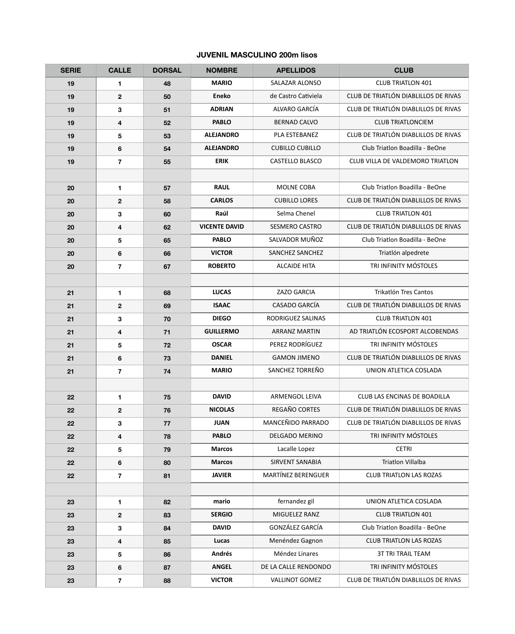### **JUVENIL MASCULINO 200m lisos**

| <b>SERIE</b> | <b>CALLE</b>     | <b>DORSAL</b> | <b>NOMBRE</b>        | <b>APELLIDOS</b>          | <b>CLUB</b>                          |
|--------------|------------------|---------------|----------------------|---------------------------|--------------------------------------|
| 19           | 1                | 48            | <b>MARIO</b>         | <b>SALAZAR ALONSO</b>     | <b>CLUB TRIATLON 401</b>             |
| 19           | $\mathbf 2$      | 50            | <b>Eneko</b>         | de Castro Cativiela       | CLUB DE TRIATLÓN DIABLILLOS DE RIVAS |
| 19           | 3                | 51            | <b>ADRIAN</b>        | ALVARO GARCÍA             | CLUB DE TRIATLÓN DIABLILLOS DE RIVAS |
| 19           | 4                | 52            | <b>PABLO</b>         | <b>BERNAD CALVO</b>       | <b>CLUB TRIATLONCIEM</b>             |
| 19           | 5                | 53            | <b>ALEJANDRO</b>     | PLA ESTEBANEZ             | CLUB DE TRIATLÓN DIABLILLOS DE RIVAS |
| 19           | $\bf 6$          | 54            | <b>ALEJANDRO</b>     | <b>CUBILLO CUBILLO</b>    | Club Triatlon Boadilla - BeOne       |
| 19           | $\overline{7}$   | 55            | <b>ERIK</b>          | CASTELLO BLASCO           | CLUB VILLA DE VALDEMORO TRIATLON     |
|              |                  |               |                      |                           |                                      |
| 20           | 1                | 57            | <b>RAUL</b>          | MOLNE COBA                | Club Triatlon Boadilla - BeOne       |
| 20           | $\mathbf 2$      | 58            | <b>CARLOS</b>        | <b>CUBILLO LORES</b>      | CLUB DE TRIATLÓN DIABLILLOS DE RIVAS |
| 20           | 3                | 60            | Raúl                 | Selma Chenel              | <b>CLUB TRIATLON 401</b>             |
| 20           | 4                | 62            | <b>VICENTE DAVID</b> | <b>SESMERO CASTRO</b>     | CLUB DE TRIATLÓN DIABLILLOS DE RIVAS |
| 20           | 5                | 65            | <b>PABLO</b>         | SALVADOR MUÑOZ            | Club Triatlon Boadilla - BeOne       |
| 20           | $\bf 6$          | 66            | <b>VICTOR</b>        | SANCHEZ SANCHEZ           | Triatlón alpedrete                   |
| 20           | $\overline{7}$   | 67            | <b>ROBERTO</b>       | <b>ALCAIDE HITA</b>       | TRI INFINITY MÓSTOLES                |
|              |                  |               |                      |                           |                                      |
| 21           | 1                | 68            | <b>LUCAS</b>         | ZAZO GARCIA               | Trikatlón Tres Cantos                |
| 21           | $\boldsymbol{2}$ | 69            | <b>ISAAC</b>         | CASADO GARCÍA             | CLUB DE TRIATLÓN DIABLILLOS DE RIVAS |
| 21           | 3                | 70            | <b>DIEGO</b>         | RODRIGUEZ SALINAS         | <b>CLUB TRIATLON 401</b>             |
| 21           | 4                | 71            | <b>GUILLERMO</b>     | <b>ARRANZ MARTIN</b>      | AD TRIATLÓN ECOSPORT ALCOBENDAS      |
| 21           | 5                | 72            | <b>OSCAR</b>         | PEREZ RODRÍGUEZ           | TRI INFINITY MÓSTOLES                |
| 21           | 6                | 73            | <b>DANIEL</b>        | <b>GAMON JIMENO</b>       | CLUB DE TRIATLÓN DIABLILLOS DE RIVAS |
| 21           | $\overline{7}$   | 74            | <b>MARIO</b>         | SANCHEZ TORREÑO           | UNION ATLETICA COSLADA               |
|              |                  |               |                      |                           |                                      |
| 22           | 1                | 75            | <b>DAVID</b>         | <b>ARMENGOL LEIVA</b>     | CLUB LAS ENCINAS DE BOADILLA         |
| 22           | $\mathbf 2$      | 76            | <b>NICOLAS</b>       | REGAÑO CORTES             | CLUB DE TRIATLÓN DIABLILLOS DE RIVAS |
| 22           | ${\bf 3}$        | 77            | <b>JUAN</b>          | MANCEÑIDO PARRADO         | CLUB DE TRIATLÓN DIABLILLOS DE RIVAS |
| 22           | 4                | 78            | <b>PABLO</b>         | <b>DELGADO MERINO</b>     | TRI INFINITY MÓSTOLES                |
| 22           | 5                | 79            | <b>Marcos</b>        | Lacalle Lopez             | <b>CETRI</b>                         |
| 22           | 6                | 80            | <b>Marcos</b>        | <b>SIRVENT SANABIA</b>    | <b>Triatlon Villalba</b>             |
| 22           | $\overline{7}$   | 81            | <b>JAVIER</b>        | <b>MARTÍNEZ BERENGUER</b> | <b>CLUB TRIATLON LAS ROZAS</b>       |
|              |                  |               |                      |                           |                                      |
| 23           | 1                | 82            | mario                | fernandez gil             | UNION ATLETICA COSLADA               |
| 23           | $\mathbf 2$      | 83            | <b>SERGIO</b>        | MIGUELEZ RANZ             | <b>CLUB TRIATLON 401</b>             |
| 23           | 3                | 84            | <b>DAVID</b>         | GONZÁLEZ GARCÍA           | Club Triatlon Boadilla - BeOne       |
| 23           | 4                | 85            | Lucas                | Menéndez Gagnon           | <b>CLUB TRIATLON LAS ROZAS</b>       |
| 23           | 5                | 86            | <b>Andrés</b>        | Méndez Linares            | <b>3T TRI TRAIL TEAM</b>             |
| 23           | $\bf 6$          | 87            | <b>ANGEL</b>         | DE LA CALLE RENDONDO      | TRI INFINITY MÓSTOLES                |
| 23           | $\overline{7}$   | 88            | <b>VICTOR</b>        | <b>VALLINOT GOMEZ</b>     | CLUB DE TRIATLÓN DIABLILLOS DE RIVAS |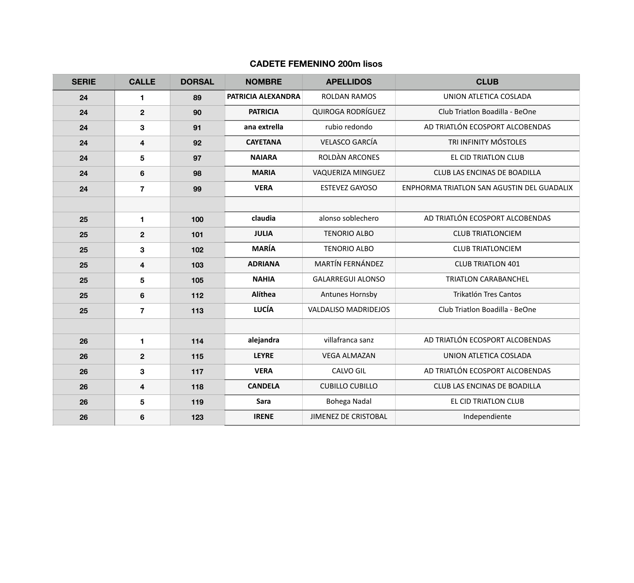#### **CADETE FEMENINO 200m lisos**

| <b>SERIE</b> | <b>CALLE</b>            | <b>DORSAL</b> | <b>NOMBRE</b>      | <b>APELLIDOS</b>            | <b>CLUB</b>                                |
|--------------|-------------------------|---------------|--------------------|-----------------------------|--------------------------------------------|
| 24           | $\mathbf{1}$            | 89            | PATRICIA ALEXANDRA | <b>ROLDAN RAMOS</b>         | UNION ATLETICA COSLADA                     |
| 24           | $\mathbf 2$             | 90            | <b>PATRICIA</b>    | <b>QUIROGA RODRÍGUEZ</b>    | Club Triatlon Boadilla - BeOne             |
| 24           | 3                       | 91            | ana extrella       | rubio redondo               | AD TRIATLÓN ECOSPORT ALCOBENDAS            |
| 24           | 4                       | 92            | <b>CAYETANA</b>    | <b>VELASCO GARCÍA</b>       | TRI INFINITY MÓSTOLES                      |
| 24           | 5                       | 97            | <b>NAIARA</b>      | ROLDÀN ARCONES              | EL CID TRIATLON CLUB                       |
| 24           | $6\phantom{1}$          | 98            | <b>MARIA</b>       | VAQUERIZA MINGUEZ           | CLUB LAS ENCINAS DE BOADILLA               |
| 24           | $\overline{7}$          | 99            | <b>VERA</b>        | <b>ESTEVEZ GAYOSO</b>       | ENPHORMA TRIATLON SAN AGUSTIN DEL GUADALIX |
|              |                         |               |                    |                             |                                            |
| 25           | $\mathbf{1}$            | 100           | claudia            | alonso soblechero           | AD TRIATLÓN ECOSPORT ALCOBENDAS            |
| 25           | $\boldsymbol{2}$        | 101           | <b>JULIA</b>       | <b>TENORIO ALBO</b>         | <b>CLUB TRIATLONCIEM</b>                   |
| 25           | 3                       | 102           | <b>MARÍA</b>       | <b>TENORIO ALBO</b>         | <b>CLUB TRIATLONCIEM</b>                   |
| 25           | $\overline{\mathbf{4}}$ | 103           | <b>ADRIANA</b>     | <b>MARTÍN FERNÁNDEZ</b>     | <b>CLUB TRIATLON 401</b>                   |
| 25           | $\overline{\mathbf{5}}$ | 105           | <b>NAHIA</b>       | <b>GALARREGUI ALONSO</b>    | <b>TRIATLON CARABANCHEL</b>                |
| 25           | $6\phantom{1}$          | 112           | Alíthea            | Antunes Hornsby             | <b>Trikatlón Tres Cantos</b>               |
| 25           | $\overline{7}$          | 113           | <b>LUCÍA</b>       | <b>VALDALISO MADRIDEJOS</b> | Club Triatlon Boadilla - BeOne             |
|              |                         |               |                    |                             |                                            |
| 26           | $\blacksquare$          | 114           | alejandra          | villafranca sanz            | AD TRIATLÓN ECOSPORT ALCOBENDAS            |
| 26           | $\boldsymbol{2}$        | 115           | <b>LEYRE</b>       | <b>VEGA ALMAZAN</b>         | UNION ATLETICA COSLADA                     |
| 26           | 3                       | 117           | <b>VERA</b>        | CALVO GIL                   | AD TRIATLÓN ECOSPORT ALCOBENDAS            |
| 26           | $\overline{\mathbf{4}}$ | 118           | <b>CANDELA</b>     | <b>CUBILLO CUBILLO</b>      | CLUB LAS ENCINAS DE BOADILLA               |
| 26           | 5                       | 119           | Sara               | Bohega Nadal                | EL CID TRIATLON CLUB                       |
| 26           | $\bf 6$                 | 123           | <b>IRENE</b>       | <b>JIMENEZ DE CRISTOBAL</b> | Independiente                              |